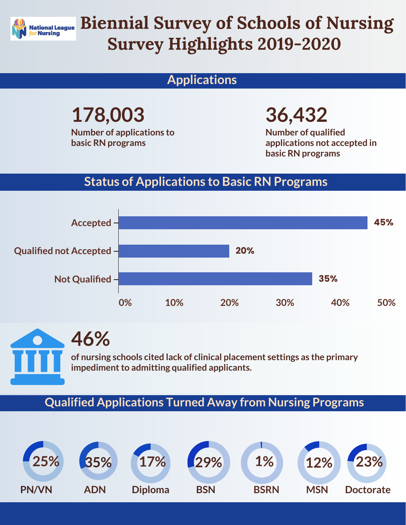

# Biennial Survey of Schools of Nursing Survey Highlights 2019-2020

## **Applications**

**178,003 Number of applications to basic RN programs** 

**36,432**

**Number of qualified applications not accepted in basic RN programs** 

### **Status of Applications to Basic RN Programs**



**46% of nursing schools cited lack of clinical placement settings as the primary impediment to admitting qualified applicants.** 

#### **Qualified Applications Turned Away from Nursing Programs**